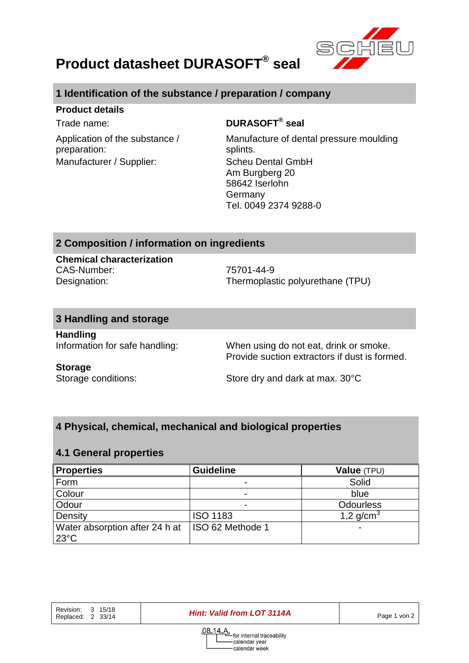

# **Product datasheet DURASOFT® seal**

# **1 Identification of the substance / preparation / company**

#### **Product details**

Application of the substance / preparation: Manufacturer / Supplier: Scheu Dental GmbH

# Trade name: **DURASOFT® seal**

Manufacture of dental pressure moulding splints. Am Burgberg 20 58642 Iserlohn Germany Tel. 0049 2374 9288-0

### **2 Composition / information on ingredients**

**Chemical characterization** CAS-Number: 75701-44-9

Designation: Thermoplastic polyurethane (TPU)

#### **3 Handling and storage**

**Handling**

Information for safe handling: When using do not eat, drink or smoke. Provide suction extractors if dust is formed.

#### **Storage**

Storage conditions: Store dry and dark at max. 30°C

# **4 Physical, chemical, mechanical and biological properties**

#### **4.1 General properties**

| <b>Properties</b>                                | <b>Guideline</b> | Value (TPU)      |  |
|--------------------------------------------------|------------------|------------------|--|
| Form                                             |                  | Solid            |  |
| Colour                                           |                  | blue             |  |
| Odour                                            |                  | <b>Odourless</b> |  |
| Density                                          | <b>ISO 1183</b>  | 1,2 $q/cm^{3}$   |  |
| Water absorption after 24 h at<br>$23^{\circ}$ C | ISO 62 Methode 1 |                  |  |

Revision: 3 15/18<br>Replaced: 2 33/14

**Hint: Valid from LOT 3114A** Page 1 von 2